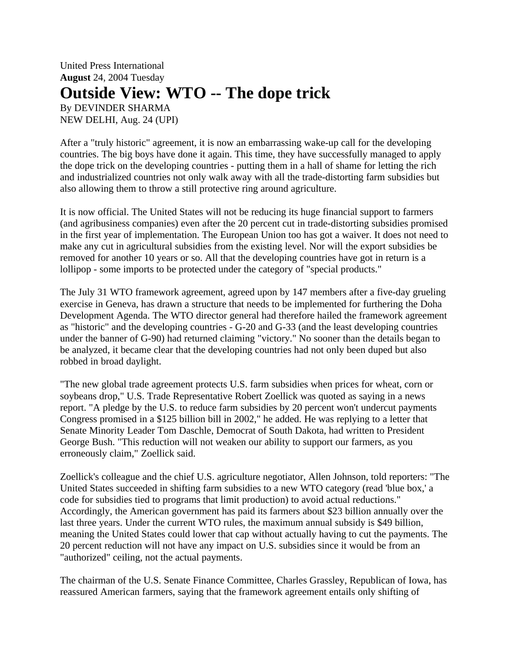United Press International **August** 24, 2004 Tuesday **Outside View: WTO -- The dope trick** By DEVINDER SHARMA NEW DELHI, Aug. 24 (UPI)

After a "truly historic" agreement, it is now an embarrassing wake-up call for the developing countries. The big boys have done it again. This time, they have successfully managed to apply the dope trick on the developing countries - putting them in a hall of shame for letting the rich

also allowing them to throw a still protective ring around agriculture.

It is now official. The United States will not be reducing its huge financial support to farmers (and agribusiness companies) even after the 20 percent cut in trade-distorting subsidies promised in the first year of implementation. The European Union too has got a waiver. It does not need to make any cut in agricultural subsidies from the existing level. Nor will the export subsidies be removed for another 10 years or so. All that the developing countries have got in return is a lollipop - some imports to be protected under the category of "special products."

and industrialized countries not only walk away with all the trade-distorting farm subsidies but

The July 31 WTO framework agreement, agreed upon by 147 members after a five-day grueling exercise in Geneva, has drawn a structure that needs to be implemented for furthering the Doha Development Agenda. The WTO director general had therefore hailed the framework agreement as "historic" and the developing countries - G-20 and G-33 (and the least developing countries under the banner of G-90) had returned claiming "victory." No sooner than the details began to be analyzed, it became clear that the developing countries had not only been duped but also robbed in broad daylight.

"The new global trade agreement protects U.S. farm subsidies when prices for wheat, corn or soybeans drop," U.S. Trade Representative Robert Zoellick was quoted as saying in a news report. "A pledge by the U.S. to reduce farm subsidies by 20 percent won't undercut payments Congress promised in a \$125 billion bill in 2002," he added. He was replying to a letter that Senate Minority Leader Tom Daschle, Democrat of South Dakota, had written to President George Bush. "This reduction will not weaken our ability to support our farmers, as you erroneously claim," Zoellick said.

Zoellick's colleague and the chief U.S. agriculture negotiator, Allen Johnson, told reporters: "The United States succeeded in shifting farm subsidies to a new WTO category (read 'blue box,' a code for subsidies tied to programs that limit production) to avoid actual reductions." Accordingly, the American government has paid its farmers about \$23 billion annually over the last three years. Under the current WTO rules, the maximum annual subsidy is \$49 billion, meaning the United States could lower that cap without actually having to cut the payments. The 20 percent reduction will not have any impact on U.S. subsidies since it would be from an "authorized" ceiling, not the actual payments.

The chairman of the U.S. Senate Finance Committee, Charles Grassley, Republican of Iowa, has reassured American farmers, saying that the framework agreement entails only shifting of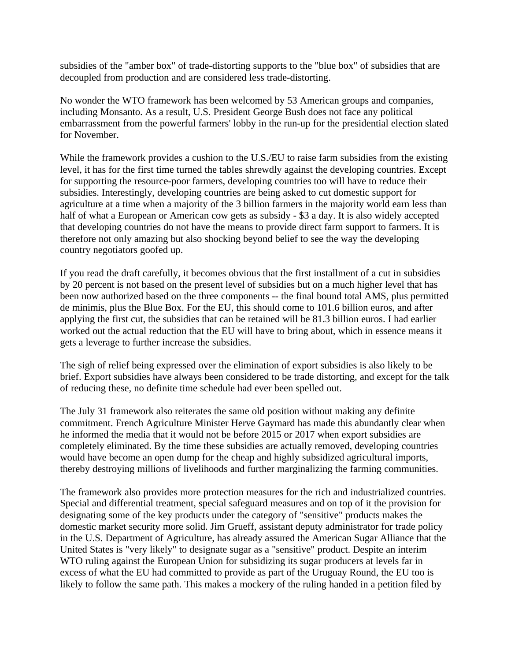subsidies of the "amber box" of trade-distorting supports to the "blue box" of subsidies that are decoupled from production and are considered less trade-distorting.

No wonder the WTO framework has been welcomed by 53 American groups and companies, including Monsanto. As a result, U.S. President George Bush does not face any political embarrassment from the powerful farmers' lobby in the run-up for the presidential election slated for November.

While the framework provides a cushion to the U.S./EU to raise farm subsidies from the existing level, it has for the first time turned the tables shrewdly against the developing countries. Except for supporting the resource-poor farmers, developing countries too will have to reduce their subsidies. Interestingly, developing countries are being asked to cut domestic support for agriculture at a time when a majority of the 3 billion farmers in the majority world earn less than half of what a European or American cow gets as subsidy - \$3 a day. It is also widely accepted that developing countries do not have the means to provide direct farm support to farmers. It is therefore not only amazing but also shocking beyond belief to see the way the developing country negotiators goofed up.

If you read the draft carefully, it becomes obvious that the first installment of a cut in subsidies by 20 percent is not based on the present level of subsidies but on a much higher level that has been now authorized based on the three components -- the final bound total AMS, plus permitted de minimis, plus the Blue Box. For the EU, this should come to 101.6 billion euros, and after applying the first cut, the subsidies that can be retained will be 81.3 billion euros. I had earlier worked out the actual reduction that the EU will have to bring about, which in essence means it gets a leverage to further increase the subsidies.

The sigh of relief being expressed over the elimination of export subsidies is also likely to be brief. Export subsidies have always been considered to be trade distorting, and except for the talk of reducing these, no definite time schedule had ever been spelled out.

The July 31 framework also reiterates the same old position without making any definite commitment. French Agriculture Minister Herve Gaymard has made this abundantly clear when he informed the media that it would not be before 2015 or 2017 when export subsidies are completely eliminated. By the time these subsidies are actually removed, developing countries would have become an open dump for the cheap and highly subsidized agricultural imports, thereby destroying millions of livelihoods and further marginalizing the farming communities.

The framework also provides more protection measures for the rich and industrialized countries. Special and differential treatment, special safeguard measures and on top of it the provision for designating some of the key products under the category of "sensitive" products makes the domestic market security more solid. Jim Grueff, assistant deputy administrator for trade policy in the U.S. Department of Agriculture, has already assured the American Sugar Alliance that the United States is "very likely" to designate sugar as a "sensitive" product. Despite an interim WTO ruling against the European Union for subsidizing its sugar producers at levels far in excess of what the EU had committed to provide as part of the Uruguay Round, the EU too is likely to follow the same path. This makes a mockery of the ruling handed in a petition filed by